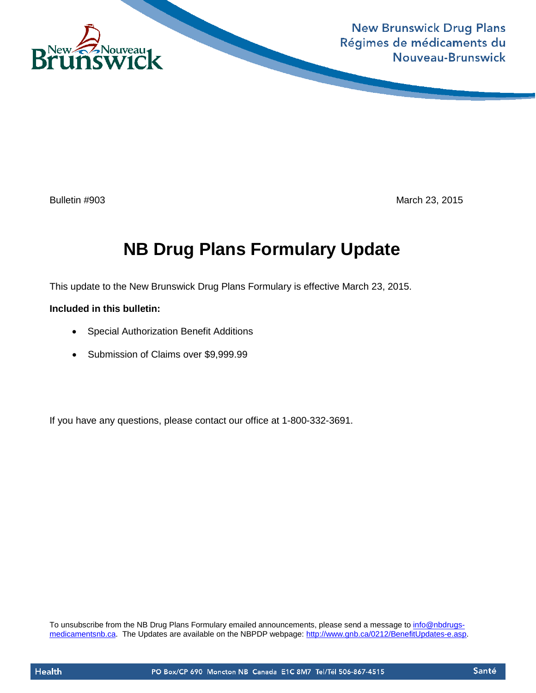

**New Brunswick Drug Plans** Régimes de médicaments du Nouveau-Brunswick

Bulletin #903 March 23, 2015

# **NB Drug Plans Formulary Update**

This update to the New Brunswick Drug Plans Formulary is effective March 23, 2015.

### **Included in this bulletin:**

- Special Authorization Benefit Additions
- Submission of Claims over \$9,999.99

If you have any questions, please contact our office at 1-800-332-3691.

To unsubscribe from the NB Drug Plans Formulary emailed announcements, please send a message to [info@nbdrugs](mailto:info@nbdrugs-medicamentsnb.ca)[medicamentsnb.ca.](mailto:info@nbdrugs-medicamentsnb.ca) The Updates are available on the NBPDP webpage: [http://www.gnb.ca/0212/BenefitUpdates-e.asp.](http://www.gnb.ca/0212/BenefitUpdates-e.asp)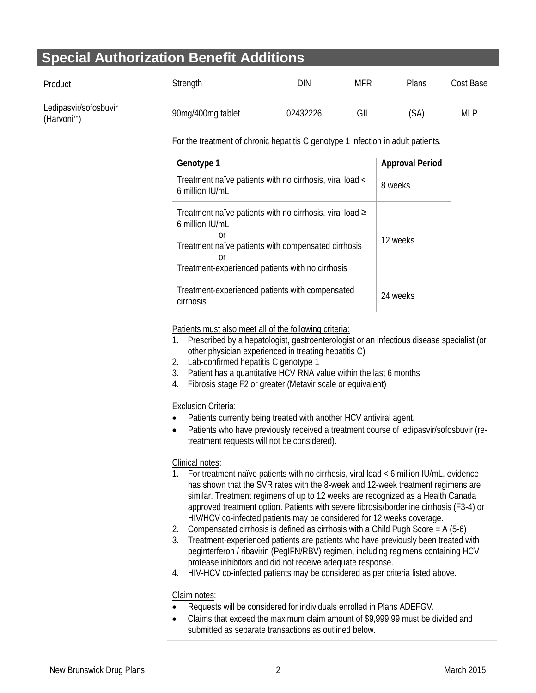## **Special Authorization Benefit Additions**

| Product                                          | Strength                                                                                                                                                                                                                                                                                                                                                                                                                                                                                                                                                                                                                                                                                                                                                                                                                                                                                                                                                                                                                                                                                                                                                                                                                                                                                                                                                                                                                                                                                                                                                                        | <b>DIN</b>                                               | <b>MFR</b> | Plans | Cost Base  |  |  |
|--------------------------------------------------|---------------------------------------------------------------------------------------------------------------------------------------------------------------------------------------------------------------------------------------------------------------------------------------------------------------------------------------------------------------------------------------------------------------------------------------------------------------------------------------------------------------------------------------------------------------------------------------------------------------------------------------------------------------------------------------------------------------------------------------------------------------------------------------------------------------------------------------------------------------------------------------------------------------------------------------------------------------------------------------------------------------------------------------------------------------------------------------------------------------------------------------------------------------------------------------------------------------------------------------------------------------------------------------------------------------------------------------------------------------------------------------------------------------------------------------------------------------------------------------------------------------------------------------------------------------------------------|----------------------------------------------------------|------------|-------|------------|--|--|
| Ledipasvir/sofosbuvir<br>(Harvoni <sup>™</sup> ) | 90mg/400mg tablet                                                                                                                                                                                                                                                                                                                                                                                                                                                                                                                                                                                                                                                                                                                                                                                                                                                                                                                                                                                                                                                                                                                                                                                                                                                                                                                                                                                                                                                                                                                                                               | 02432226                                                 | GIL        | (SA)  | <b>MLP</b> |  |  |
|                                                  | For the treatment of chronic hepatitis C genotype 1 infection in adult patients.                                                                                                                                                                                                                                                                                                                                                                                                                                                                                                                                                                                                                                                                                                                                                                                                                                                                                                                                                                                                                                                                                                                                                                                                                                                                                                                                                                                                                                                                                                |                                                          |            |       |            |  |  |
|                                                  | Genotype 1                                                                                                                                                                                                                                                                                                                                                                                                                                                                                                                                                                                                                                                                                                                                                                                                                                                                                                                                                                                                                                                                                                                                                                                                                                                                                                                                                                                                                                                                                                                                                                      |                                                          |            |       |            |  |  |
|                                                  | 6 million IU/mL                                                                                                                                                                                                                                                                                                                                                                                                                                                                                                                                                                                                                                                                                                                                                                                                                                                                                                                                                                                                                                                                                                                                                                                                                                                                                                                                                                                                                                                                                                                                                                 | Treatment naïve patients with no cirrhosis, viral load < |            |       |            |  |  |
|                                                  | Treatment naïve patients with no cirrhosis, viral load $\geq$<br>6 million IU/mL<br>0r<br>Treatment naïve patients with compensated cirrhosis<br><sub>or</sub><br>Treatment-experienced patients with no cirrhosis                                                                                                                                                                                                                                                                                                                                                                                                                                                                                                                                                                                                                                                                                                                                                                                                                                                                                                                                                                                                                                                                                                                                                                                                                                                                                                                                                              |                                                          |            |       |            |  |  |
|                                                  | Treatment-experienced patients with compensated                                                                                                                                                                                                                                                                                                                                                                                                                                                                                                                                                                                                                                                                                                                                                                                                                                                                                                                                                                                                                                                                                                                                                                                                                                                                                                                                                                                                                                                                                                                                 | 24 weeks                                                 |            |       |            |  |  |
|                                                  | cirrhosis<br>Patients must also meet all of the following criteria:<br>Prescribed by a hepatologist, gastroenterologist or an infectious disease specialist (or<br>1.<br>other physician experienced in treating hepatitis C)<br>Lab-confirmed hepatitis C genotype 1<br>2.<br>Patient has a quantitative HCV RNA value within the last 6 months<br>3.<br>Fibrosis stage F2 or greater (Metavir scale or equivalent)<br>4.<br><b>Exclusion Criteria:</b><br>Patients currently being treated with another HCV antiviral agent.<br>Patients who have previously received a treatment course of ledipasvir/sofosbuvir (re-<br>$\bullet$<br>treatment requests will not be considered).<br>Clinical notes:<br>For treatment naïve patients with no cirrhosis, viral load < 6 million IU/mL, evidence<br>1.<br>has shown that the SVR rates with the 8-week and 12-week treatment regimens are<br>similar. Treatment regimens of up to 12 weeks are recognized as a Health Canada<br>approved treatment option. Patients with severe fibrosis/borderline cirrhosis (F3-4) or<br>HIV/HCV co-infected patients may be considered for 12 weeks coverage.<br>Compensated cirrhosis is defined as cirrhosis with a Child Pugh Score = $A(5-6)$<br>2.<br>3.<br>Treatment-experienced patients are patients who have previously been treated with<br>peginterferon / ribavirin (PegIFN/RBV) regimen, including regimens containing HCV<br>protease inhibitors and did not receive adequate response.<br>HIV-HCV co-infected patients may be considered as per criteria listed above.<br>4. |                                                          |            |       |            |  |  |

- Requests will be considered for individuals enrolled in Plans ADEFGV.
- Claims that exceed the maximum claim amount of \$9,999.99 must be divided and submitted as separate transactions as outlined below.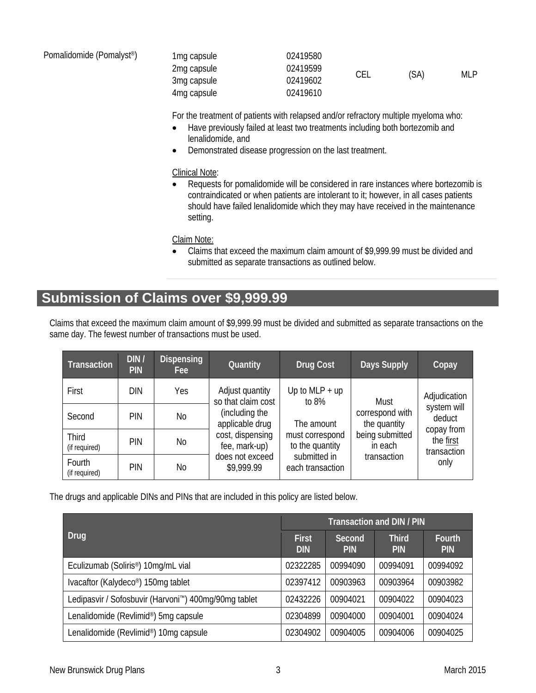| Pomalidomide (Pomalyst <sup>®</sup> ) | 1 <sub>mg</sub> capsule | 02419580 |     |      |     |
|---------------------------------------|-------------------------|----------|-----|------|-----|
|                                       | 2mg capsule             | 02419599 |     |      |     |
|                                       | 3mg capsule             | 02419602 | CEL | (SA) | MLP |
|                                       | 4 <sub>mg</sub> capsule | 02419610 |     |      |     |

For the treatment of patients with relapsed and/or refractory multiple myeloma who:

- Have previously failed at least two treatments including both bortezomib and lenalidomide, and
- Demonstrated disease progression on the last treatment.

#### Clinical Note:

• Requests for pomalidomide will be considered in rare instances where bortezomib is contraindicated or when patients are intolerant to it; however, in all cases patients should have failed lenalidomide which they may have received in the maintenance setting.

Claim Note:

• Claims that exceed the maximum claim amount of \$9,999.99 must be divided and submitted as separate transactions as outlined below.

### **Submission of Claims over \$9,999.99**

Claims that exceed the maximum claim amount of \$9,999.99 must be divided and submitted as separate transactions on the same day. The fewest number of transactions must be used.

| <b>Transaction</b>      | DIN /<br><b>PIN</b> | <b>Dispensing</b><br>Fee: | Quantity                                                                                                | Drug Cost                          | <b>Days Supply</b>                                                           | Copay                                                                   |
|-------------------------|---------------------|---------------------------|---------------------------------------------------------------------------------------------------------|------------------------------------|------------------------------------------------------------------------------|-------------------------------------------------------------------------|
| First                   | DIN                 | Yes                       | Adjust quantity<br>so that claim cost                                                                   | Up to $MLP + up$<br>to $8%$        | Must                                                                         | Adjudication                                                            |
| Second                  | PIN                 | No                        | (including the<br>applicable drug<br>cost, dispensing<br>fee, mark-up)<br>does not exceed<br>\$9,999.99 | The amount                         | correspond with<br>the quantity<br>being submitted<br>in each<br>transaction | system will<br>deduct<br>copay from<br>the first<br>transaction<br>only |
| Third<br>(if required)  | PIN                 | N <sub>o</sub>            |                                                                                                         | must correspond<br>to the quantity |                                                                              |                                                                         |
| Fourth<br>(if required) | PIN                 | No                        |                                                                                                         | submitted in<br>each transaction   |                                                                              |                                                                         |

The drugs and applicable DINs and PINs that are included in this policy are listed below.

|                                                                   | <b>Transaction and DIN / PIN</b> |                      |                            |                             |  |
|-------------------------------------------------------------------|----------------------------------|----------------------|----------------------------|-----------------------------|--|
| Drug                                                              | <b>First</b><br><b>DIN</b>       | Second<br><b>PIN</b> | <b>Third</b><br><b>PIN</b> | <b>Fourth</b><br><b>PIN</b> |  |
| Eculizumab (Soliris <sup>®</sup> ) 10mg/mL vial                   | 02322285                         | 00994090             | 00994091                   | 00994092                    |  |
| Ivacaftor (Kalydeco <sup>®</sup> ) 150mg tablet                   | 02397412                         | 00903963             | 00903964                   | 00903982                    |  |
| Ledipasvir / Sofosbuvir (Harvoni <sup>™</sup> ) 400mg/90mg tablet | 02432226                         | 00904021             | 00904022                   | 00904023                    |  |
| Lenalidomide (Revlimid®) 5mg capsule                              | 02304899                         | 00904000             | 00904001                   | 00904024                    |  |
| Lenalidomide (Revlimid®) 10mg capsule                             | 02304902                         | 00904005             | 00904006                   | 00904025                    |  |